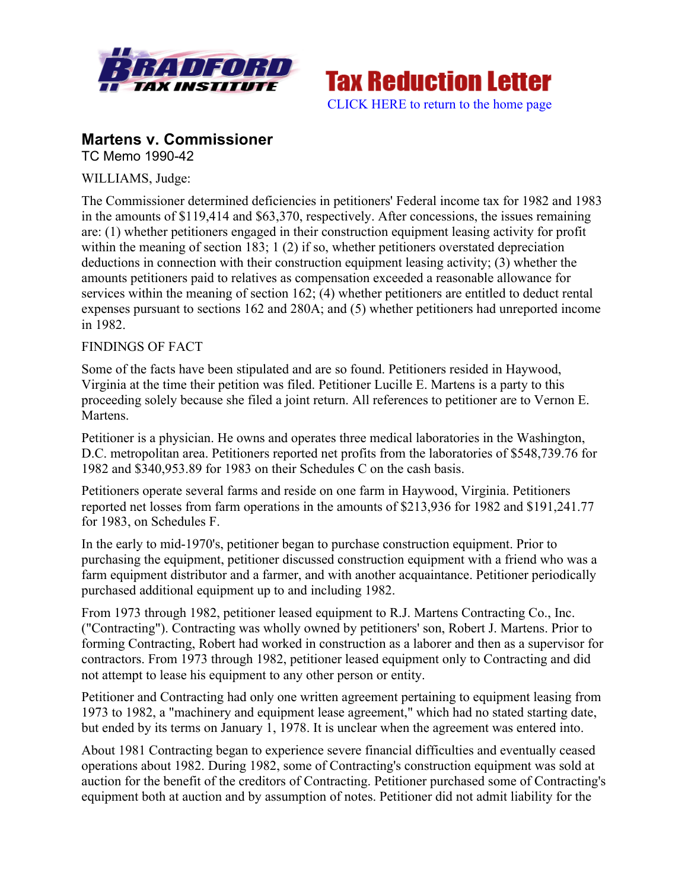



## **Martens v. Commissioner** TC Memo 1990-42

WILLIAMS, Judge:

The Commissioner determined deficiencies in petitioners' Federal income tax for 1982 and 1983 in the amounts of \$119,414 and \$63,370, respectively. After concessions, the issues remaining are: (1) whether petitioners engaged in their construction equipment leasing activity for profit within the meaning of section 183; 1 (2) if so, whether petitioners overstated depreciation deductions in connection with their construction equipment leasing activity; (3) whether the amounts petitioners paid to relatives as compensation exceeded a reasonable allowance for services within the meaning of section 162; (4) whether petitioners are entitled to deduct rental expenses pursuant to sections 162 and 280A; and (5) whether petitioners had unreported income in 1982.

## FINDINGS OF FACT

Some of the facts have been stipulated and are so found. Petitioners resided in Haywood, Virginia at the time their petition was filed. Petitioner Lucille E. Martens is a party to this proceeding solely because she filed a joint return. All references to petitioner are to Vernon E. Martens.

Petitioner is a physician. He owns and operates three medical laboratories in the Washington, D.C. metropolitan area. Petitioners reported net profits from the laboratories of \$548,739.76 for 1982 and \$340,953.89 for 1983 on their Schedules C on the cash basis.

Petitioners operate several farms and reside on one farm in Haywood, Virginia. Petitioners reported net losses from farm operations in the amounts of \$213,936 for 1982 and \$191,241.77 for 1983, on Schedules F.

In the early to mid-1970's, petitioner began to purchase construction equipment. Prior to purchasing the equipment, petitioner discussed construction equipment with a friend who was a farm equipment distributor and a farmer, and with another acquaintance. Petitioner periodically purchased additional equipment up to and including 1982.

From 1973 through 1982, petitioner leased equipment to R.J. Martens Contracting Co., Inc. ("Contracting"). Contracting was wholly owned by petitioners' son, Robert J. Martens. Prior to forming Contracting, Robert had worked in construction as a laborer and then as a supervisor for contractors. From 1973 through 1982, petitioner leased equipment only to Contracting and did not attempt to lease his equipment to any other person or entity.

Petitioner and Contracting had only one written agreement pertaining to equipment leasing from 1973 to 1982, a "machinery and equipment lease agreement," which had no stated starting date, but ended by its terms on January 1, 1978. It is unclear when the agreement was entered into.

About 1981 Contracting began to experience severe financial difficulties and eventually ceased operations about 1982. During 1982, some of Contracting's construction equipment was sold at auction for the benefit of the creditors of Contracting. Petitioner purchased some of Contracting's equipment both at auction and by assumption of notes. Petitioner did not admit liability for the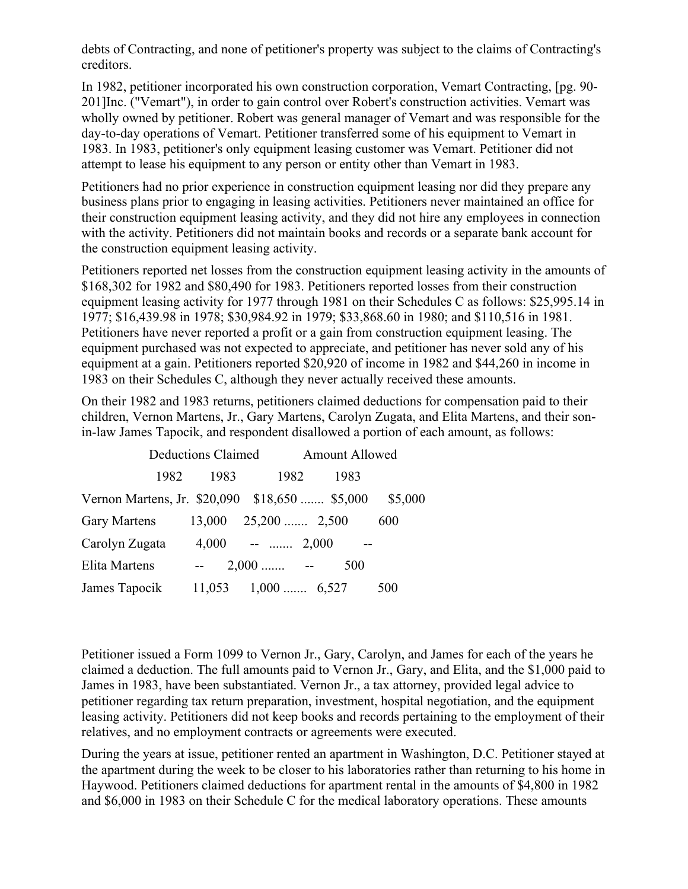debts of Contracting, and none of petitioner's property was subject to the claims of Contracting's creditors.

In 1982, petitioner incorporated his own construction corporation, Vemart Contracting, [pg. 90- 201]Inc. ("Vemart"), in order to gain control over Robert's construction activities. Vemart was wholly owned by petitioner. Robert was general manager of Vemart and was responsible for the day-to-day operations of Vemart. Petitioner transferred some of his equipment to Vemart in 1983. In 1983, petitioner's only equipment leasing customer was Vemart. Petitioner did not attempt to lease his equipment to any person or entity other than Vemart in 1983.

Petitioners had no prior experience in construction equipment leasing nor did they prepare any business plans prior to engaging in leasing activities. Petitioners never maintained an office for their construction equipment leasing activity, and they did not hire any employees in connection with the activity. Petitioners did not maintain books and records or a separate bank account for the construction equipment leasing activity.

Petitioners reported net losses from the construction equipment leasing activity in the amounts of \$168,302 for 1982 and \$80,490 for 1983. Petitioners reported losses from their construction equipment leasing activity for 1977 through 1981 on their Schedules C as follows: \$25,995.14 in 1977; \$16,439.98 in 1978; \$30,984.92 in 1979; \$33,868.60 in 1980; and \$110,516 in 1981. Petitioners have never reported a profit or a gain from construction equipment leasing. The equipment purchased was not expected to appreciate, and petitioner has never sold any of his equipment at a gain. Petitioners reported \$20,920 of income in 1982 and \$44,260 in income in 1983 on their Schedules C, although they never actually received these amounts.

On their 1982 and 1983 returns, petitioners claimed deductions for compensation paid to their children, Vernon Martens, Jr., Gary Martens, Carolyn Zugata, and Elita Martens, and their sonin-law James Tapocik, and respondent disallowed a portion of each amount, as follows:

|                                                | <b>Deductions Claimed</b> |                         | <b>Amount Allowed</b> |         |
|------------------------------------------------|---------------------------|-------------------------|-----------------------|---------|
| 1982                                           | 1983                      | 1982                    | 1983                  |         |
| Vernon Martens, Jr. \$20,090 \$18,650  \$5,000 |                           |                         |                       | \$5,000 |
| Gary Martens                                   |                           | $13,000$ $25,200$ 2,500 |                       | 600     |
| Carolyn Zugata                                 |                           | $4,000$ --  2,000       |                       |         |
| Elita Martens                                  |                           | $2,000$ -               | 500                   |         |
| James Tapocik                                  |                           | $11,053$ $1,000$ 6,527  |                       | 500     |

Petitioner issued a Form 1099 to Vernon Jr., Gary, Carolyn, and James for each of the years he claimed a deduction. The full amounts paid to Vernon Jr., Gary, and Elita, and the \$1,000 paid to James in 1983, have been substantiated. Vernon Jr., a tax attorney, provided legal advice to petitioner regarding tax return preparation, investment, hospital negotiation, and the equipment leasing activity. Petitioners did not keep books and records pertaining to the employment of their relatives, and no employment contracts or agreements were executed.

During the years at issue, petitioner rented an apartment in Washington, D.C. Petitioner stayed at the apartment during the week to be closer to his laboratories rather than returning to his home in Haywood. Petitioners claimed deductions for apartment rental in the amounts of \$4,800 in 1982 and \$6,000 in 1983 on their Schedule C for the medical laboratory operations. These amounts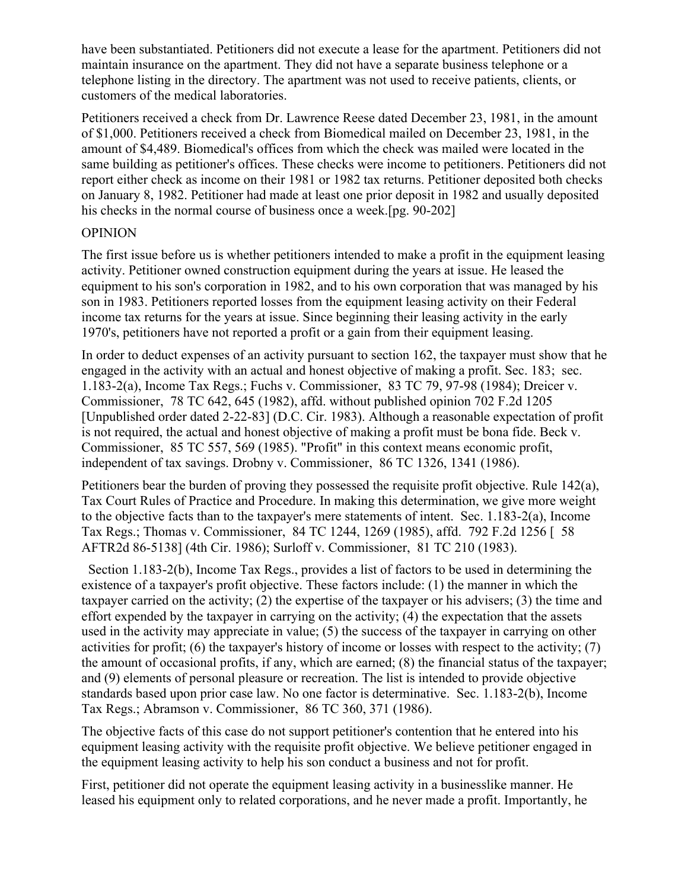have been substantiated. Petitioners did not execute a lease for the apartment. Petitioners did not maintain insurance on the apartment. They did not have a separate business telephone or a telephone listing in the directory. The apartment was not used to receive patients, clients, or customers of the medical laboratories.

Petitioners received a check from Dr. Lawrence Reese dated December 23, 1981, in the amount of \$1,000. Petitioners received a check from Biomedical mailed on December 23, 1981, in the amount of \$4,489. Biomedical's offices from which the check was mailed were located in the same building as petitioner's offices. These checks were income to petitioners. Petitioners did not report either check as income on their 1981 or 1982 tax returns. Petitioner deposited both checks on January 8, 1982. Petitioner had made at least one prior deposit in 1982 and usually deposited his checks in the normal course of business once a week.[pg. 90-202]

## OPINION

The first issue before us is whether petitioners intended to make a profit in the equipment leasing activity. Petitioner owned construction equipment during the years at issue. He leased the equipment to his son's corporation in 1982, and to his own corporation that was managed by his son in 1983. Petitioners reported losses from the equipment leasing activity on their Federal income tax returns for the years at issue. Since beginning their leasing activity in the early 1970's, petitioners have not reported a profit or a gain from their equipment leasing.

In order to deduct expenses of an activity pursuant to section 162, the taxpayer must show that he engaged in the activity with an actual and honest objective of making a profit. Sec. 183; sec. 1.183-2(a), Income Tax Regs.; Fuchs v. Commissioner, 83 TC 79, 97-98 (1984); Dreicer v. Commissioner, 78 TC 642, 645 (1982), affd. without published opinion 702 F.2d 1205 [Unpublished order dated 2-22-83] (D.C. Cir. 1983). Although a reasonable expectation of profit is not required, the actual and honest objective of making a profit must be bona fide. Beck v. Commissioner, 85 TC 557, 569 (1985). "Profit" in this context means economic profit, independent of tax savings. Drobny v. Commissioner, 86 TC 1326, 1341 (1986).

Petitioners bear the burden of proving they possessed the requisite profit objective. Rule 142(a), Tax Court Rules of Practice and Procedure. In making this determination, we give more weight to the objective facts than to the taxpayer's mere statements of intent. Sec. 1.183-2(a), Income Tax Regs.; Thomas v. Commissioner, 84 TC 1244, 1269 (1985), affd. 792 F.2d 1256 [ 58 AFTR2d 86-5138] (4th Cir. 1986); Surloff v. Commissioner, 81 TC 210 (1983).

 Section 1.183-2(b), Income Tax Regs., provides a list of factors to be used in determining the existence of a taxpayer's profit objective. These factors include: (1) the manner in which the taxpayer carried on the activity; (2) the expertise of the taxpayer or his advisers; (3) the time and effort expended by the taxpayer in carrying on the activity; (4) the expectation that the assets used in the activity may appreciate in value; (5) the success of the taxpayer in carrying on other activities for profit; (6) the taxpayer's history of income or losses with respect to the activity; (7) the amount of occasional profits, if any, which are earned; (8) the financial status of the taxpayer; and (9) elements of personal pleasure or recreation. The list is intended to provide objective standards based upon prior case law. No one factor is determinative. Sec. 1.183-2(b), Income Tax Regs.; Abramson v. Commissioner, 86 TC 360, 371 (1986).

The objective facts of this case do not support petitioner's contention that he entered into his equipment leasing activity with the requisite profit objective. We believe petitioner engaged in the equipment leasing activity to help his son conduct a business and not for profit.

First, petitioner did not operate the equipment leasing activity in a businesslike manner. He leased his equipment only to related corporations, and he never made a profit. Importantly, he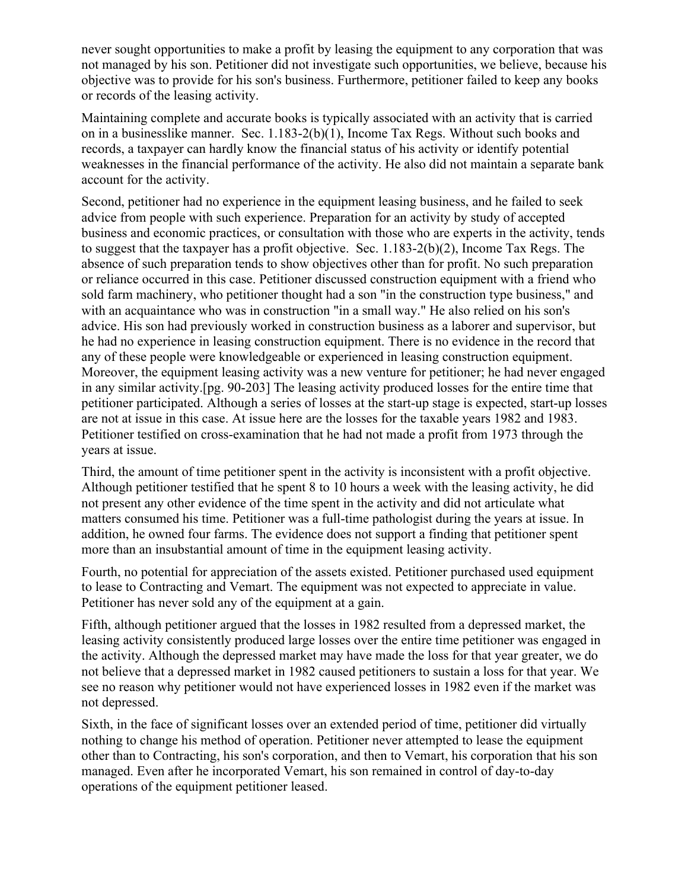never sought opportunities to make a profit by leasing the equipment to any corporation that was not managed by his son. Petitioner did not investigate such opportunities, we believe, because his objective was to provide for his son's business. Furthermore, petitioner failed to keep any books or records of the leasing activity.

Maintaining complete and accurate books is typically associated with an activity that is carried on in a businesslike manner. Sec. 1.183-2(b)(1), Income Tax Regs. Without such books and records, a taxpayer can hardly know the financial status of his activity or identify potential weaknesses in the financial performance of the activity. He also did not maintain a separate bank account for the activity.

Second, petitioner had no experience in the equipment leasing business, and he failed to seek advice from people with such experience. Preparation for an activity by study of accepted business and economic practices, or consultation with those who are experts in the activity, tends to suggest that the taxpayer has a profit objective. Sec. 1.183-2(b)(2), Income Tax Regs. The absence of such preparation tends to show objectives other than for profit. No such preparation or reliance occurred in this case. Petitioner discussed construction equipment with a friend who sold farm machinery, who petitioner thought had a son "in the construction type business," and with an acquaintance who was in construction "in a small way." He also relied on his son's advice. His son had previously worked in construction business as a laborer and supervisor, but he had no experience in leasing construction equipment. There is no evidence in the record that any of these people were knowledgeable or experienced in leasing construction equipment. Moreover, the equipment leasing activity was a new venture for petitioner; he had never engaged in any similar activity.[pg. 90-203] The leasing activity produced losses for the entire time that petitioner participated. Although a series of losses at the start-up stage is expected, start-up losses are not at issue in this case. At issue here are the losses for the taxable years 1982 and 1983. Petitioner testified on cross-examination that he had not made a profit from 1973 through the years at issue.

Third, the amount of time petitioner spent in the activity is inconsistent with a profit objective. Although petitioner testified that he spent 8 to 10 hours a week with the leasing activity, he did not present any other evidence of the time spent in the activity and did not articulate what matters consumed his time. Petitioner was a full-time pathologist during the years at issue. In addition, he owned four farms. The evidence does not support a finding that petitioner spent more than an insubstantial amount of time in the equipment leasing activity.

Fourth, no potential for appreciation of the assets existed. Petitioner purchased used equipment to lease to Contracting and Vemart. The equipment was not expected to appreciate in value. Petitioner has never sold any of the equipment at a gain.

Fifth, although petitioner argued that the losses in 1982 resulted from a depressed market, the leasing activity consistently produced large losses over the entire time petitioner was engaged in the activity. Although the depressed market may have made the loss for that year greater, we do not believe that a depressed market in 1982 caused petitioners to sustain a loss for that year. We see no reason why petitioner would not have experienced losses in 1982 even if the market was not depressed.

Sixth, in the face of significant losses over an extended period of time, petitioner did virtually nothing to change his method of operation. Petitioner never attempted to lease the equipment other than to Contracting, his son's corporation, and then to Vemart, his corporation that his son managed. Even after he incorporated Vemart, his son remained in control of day-to-day operations of the equipment petitioner leased.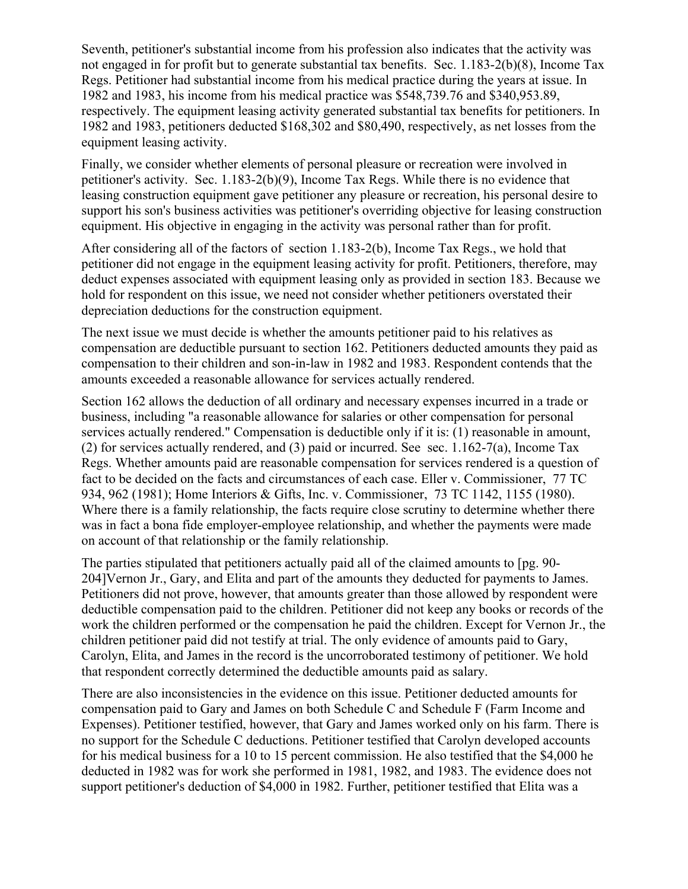Seventh, petitioner's substantial income from his profession also indicates that the activity was not engaged in for profit but to generate substantial tax benefits. Sec. 1.183-2(b)(8), Income Tax Regs. Petitioner had substantial income from his medical practice during the years at issue. In 1982 and 1983, his income from his medical practice was \$548,739.76 and \$340,953.89, respectively. The equipment leasing activity generated substantial tax benefits for petitioners. In 1982 and 1983, petitioners deducted \$168,302 and \$80,490, respectively, as net losses from the equipment leasing activity.

Finally, we consider whether elements of personal pleasure or recreation were involved in petitioner's activity. Sec. 1.183-2(b)(9), Income Tax Regs. While there is no evidence that leasing construction equipment gave petitioner any pleasure or recreation, his personal desire to support his son's business activities was petitioner's overriding objective for leasing construction equipment. His objective in engaging in the activity was personal rather than for profit.

After considering all of the factors of section 1.183-2(b), Income Tax Regs., we hold that petitioner did not engage in the equipment leasing activity for profit. Petitioners, therefore, may deduct expenses associated with equipment leasing only as provided in section 183. Because we hold for respondent on this issue, we need not consider whether petitioners overstated their depreciation deductions for the construction equipment.

The next issue we must decide is whether the amounts petitioner paid to his relatives as compensation are deductible pursuant to section 162. Petitioners deducted amounts they paid as compensation to their children and son-in-law in 1982 and 1983. Respondent contends that the amounts exceeded a reasonable allowance for services actually rendered.

Section 162 allows the deduction of all ordinary and necessary expenses incurred in a trade or business, including "a reasonable allowance for salaries or other compensation for personal services actually rendered." Compensation is deductible only if it is: (1) reasonable in amount, (2) for services actually rendered, and (3) paid or incurred. See sec. 1.162-7(a), Income Tax Regs. Whether amounts paid are reasonable compensation for services rendered is a question of fact to be decided on the facts and circumstances of each case. Eller v. Commissioner, 77 TC 934, 962 (1981); Home Interiors & Gifts, Inc. v. Commissioner, 73 TC 1142, 1155 (1980). Where there is a family relationship, the facts require close scrutiny to determine whether there was in fact a bona fide employer-employee relationship, and whether the payments were made on account of that relationship or the family relationship.

The parties stipulated that petitioners actually paid all of the claimed amounts to [pg. 90- 204]Vernon Jr., Gary, and Elita and part of the amounts they deducted for payments to James. Petitioners did not prove, however, that amounts greater than those allowed by respondent were deductible compensation paid to the children. Petitioner did not keep any books or records of the work the children performed or the compensation he paid the children. Except for Vernon Jr., the children petitioner paid did not testify at trial. The only evidence of amounts paid to Gary, Carolyn, Elita, and James in the record is the uncorroborated testimony of petitioner. We hold that respondent correctly determined the deductible amounts paid as salary.

There are also inconsistencies in the evidence on this issue. Petitioner deducted amounts for compensation paid to Gary and James on both Schedule C and Schedule F (Farm Income and Expenses). Petitioner testified, however, that Gary and James worked only on his farm. There is no support for the Schedule C deductions. Petitioner testified that Carolyn developed accounts for his medical business for a 10 to 15 percent commission. He also testified that the \$4,000 he deducted in 1982 was for work she performed in 1981, 1982, and 1983. The evidence does not support petitioner's deduction of \$4,000 in 1982. Further, petitioner testified that Elita was a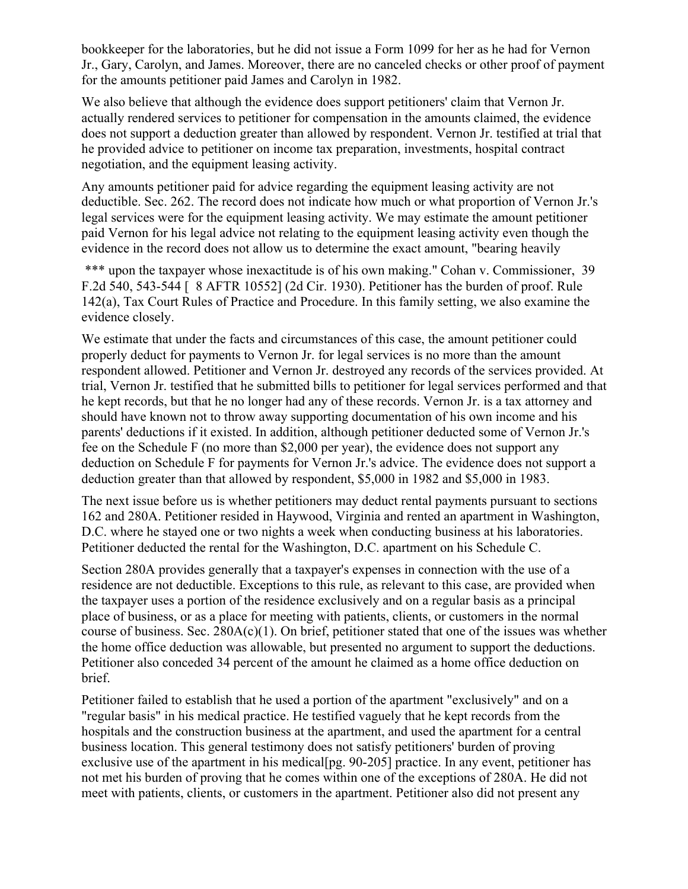bookkeeper for the laboratories, but he did not issue a Form 1099 for her as he had for Vernon Jr., Gary, Carolyn, and James. Moreover, there are no canceled checks or other proof of payment for the amounts petitioner paid James and Carolyn in 1982.

We also believe that although the evidence does support petitioners' claim that Vernon Jr. actually rendered services to petitioner for compensation in the amounts claimed, the evidence does not support a deduction greater than allowed by respondent. Vernon Jr. testified at trial that he provided advice to petitioner on income tax preparation, investments, hospital contract negotiation, and the equipment leasing activity.

Any amounts petitioner paid for advice regarding the equipment leasing activity are not deductible. Sec. 262. The record does not indicate how much or what proportion of Vernon Jr.'s legal services were for the equipment leasing activity. We may estimate the amount petitioner paid Vernon for his legal advice not relating to the equipment leasing activity even though the evidence in the record does not allow us to determine the exact amount, "bearing heavily

\*\*\* upon the taxpayer whose inexactitude is of his own making." Cohan v. Commissioner, 39 F.2d 540, 543-544 [ 8 AFTR 10552] (2d Cir. 1930). Petitioner has the burden of proof. Rule 142(a), Tax Court Rules of Practice and Procedure. In this family setting, we also examine the evidence closely.

We estimate that under the facts and circumstances of this case, the amount petitioner could properly deduct for payments to Vernon Jr. for legal services is no more than the amount respondent allowed. Petitioner and Vernon Jr. destroyed any records of the services provided. At trial, Vernon Jr. testified that he submitted bills to petitioner for legal services performed and that he kept records, but that he no longer had any of these records. Vernon Jr. is a tax attorney and should have known not to throw away supporting documentation of his own income and his parents' deductions if it existed. In addition, although petitioner deducted some of Vernon Jr.'s fee on the Schedule F (no more than \$2,000 per year), the evidence does not support any deduction on Schedule F for payments for Vernon Jr.'s advice. The evidence does not support a deduction greater than that allowed by respondent, \$5,000 in 1982 and \$5,000 in 1983.

The next issue before us is whether petitioners may deduct rental payments pursuant to sections 162 and 280A. Petitioner resided in Haywood, Virginia and rented an apartment in Washington, D.C. where he stayed one or two nights a week when conducting business at his laboratories. Petitioner deducted the rental for the Washington, D.C. apartment on his Schedule C.

Section 280A provides generally that a taxpayer's expenses in connection with the use of a residence are not deductible. Exceptions to this rule, as relevant to this case, are provided when the taxpayer uses a portion of the residence exclusively and on a regular basis as a principal place of business, or as a place for meeting with patients, clients, or customers in the normal course of business. Sec. 280A(c)(1). On brief, petitioner stated that one of the issues was whether the home office deduction was allowable, but presented no argument to support the deductions. Petitioner also conceded 34 percent of the amount he claimed as a home office deduction on brief.

Petitioner failed to establish that he used a portion of the apartment "exclusively" and on a "regular basis" in his medical practice. He testified vaguely that he kept records from the hospitals and the construction business at the apartment, and used the apartment for a central business location. This general testimony does not satisfy petitioners' burden of proving exclusive use of the apartment in his medical [pg. 90-205] practice. In any event, petitioner has not met his burden of proving that he comes within one of the exceptions of 280A. He did not meet with patients, clients, or customers in the apartment. Petitioner also did not present any